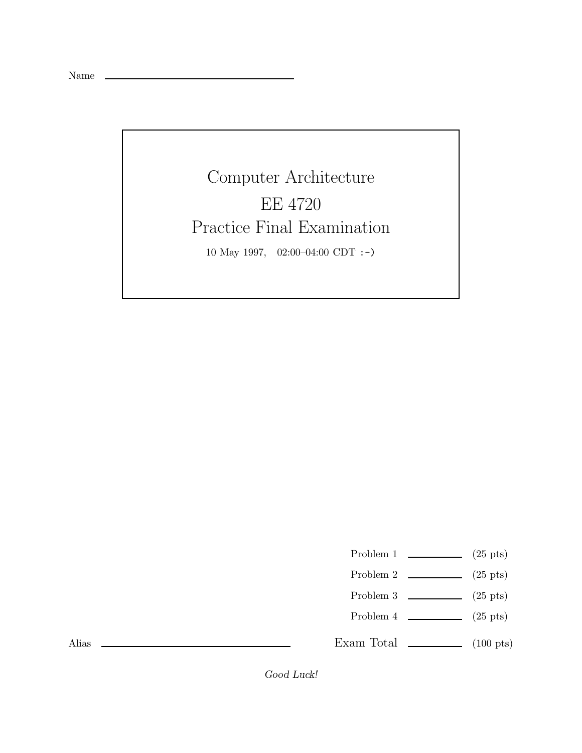Name

Computer Architecture EE 4720 Practice Final Examination 10 May 1997, 02:00–04:00 CDT :-)

Problem 1  $\qquad \qquad$  (25 pts)

- Problem 2  $\qquad \qquad$  (25 pts)
- Problem 3 (25 pts)
- Problem  $4 \quad \underline{\hspace{1cm}}$  (25 pts)

Exam Total  $\qquad \qquad$  (100 pts)

Alias

*Good Luck!*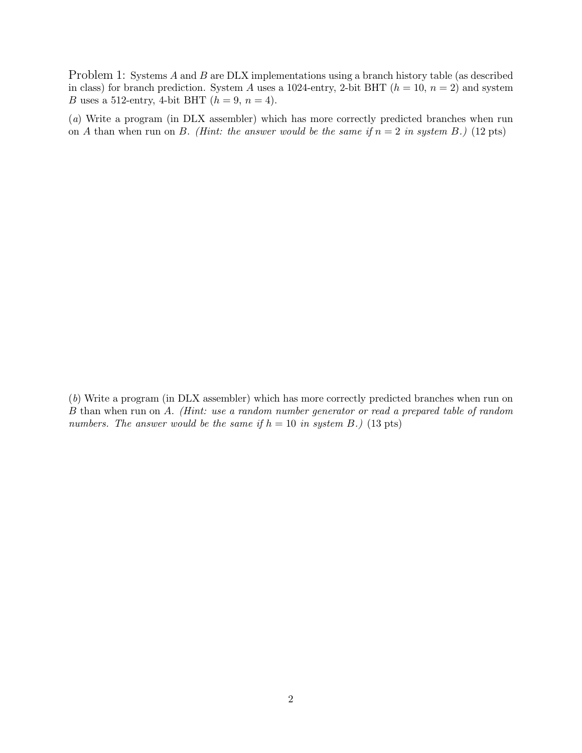Problem 1: Systems A and B are DLX implementations using a branch history table (as described in class) for branch prediction. System A uses a 1024-entry, 2-bit BHT  $(h = 10, n = 2)$  and system B uses a 512-entry, 4-bit BHT  $(h = 9, n = 4)$ .

(a) Write a program (in DLX assembler) which has more correctly predicted branches when run on A than when run on B. (Hint: the answer would be the same if  $n = 2$  in system B.) (12 pts)

(b) Write a program (in DLX assembler) which has more correctly predicted branches when run on B than when run on A. (Hint: use a random number generator or read a prepared table of random numbers. The answer would be the same if  $h = 10$  in system B.) (13 pts)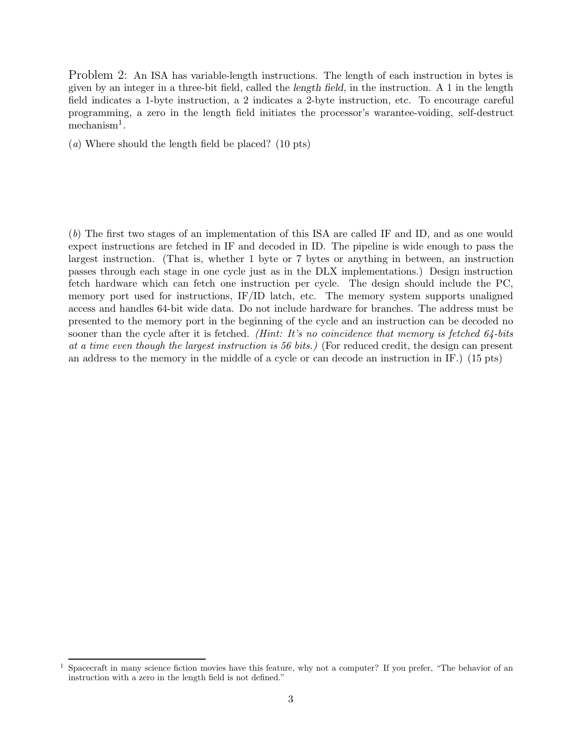Problem 2: An ISA has variable-length instructions. The length of each instruction in bytes is given by an integer in a three-bit field, called the *length field*, in the instruction. A 1 in the length field indicates a 1-byte instruction, a 2 indicates a 2-byte instruction, etc. To encourage careful programming, a zero in the length field initiates the processor's warantee-voiding, self-destruct mechanism<sup>1</sup>.

(a) Where should the length field be placed? (10 pts)

(b) The first two stages of an implementation of this ISA are called IF and ID, and as one would expect instructions are fetched in IF and decoded in ID. The pipeline is wide enough to pass the largest instruction. (That is, whether 1 byte or 7 bytes or anything in between, an instruction passes through each stage in one cycle just as in the DLX implementations.) Design instruction fetch hardware which can fetch one instruction per cycle. The design should include the PC, memory port used for instructions, IF/ID latch, etc. The memory system supports unaligned access and handles 64-bit wide data. Do not include hardware for branches. The address must be presented to the memory port in the beginning of the cycle and an instruction can be decoded no sooner than the cycle after it is fetched. (Hint: It's no coincidence that memory is fetched  $64$ -bits at a time even though the largest instruction is 56 bits.) (For reduced credit, the design can present an address to the memory in the middle of a cycle or can decode an instruction in IF.) (15 pts)

<sup>&</sup>lt;sup>1</sup> Spacecraft in many science fiction movies have this feature, why not a computer? If you prefer, "The behavior of an instruction with a zero in the length field is not defined."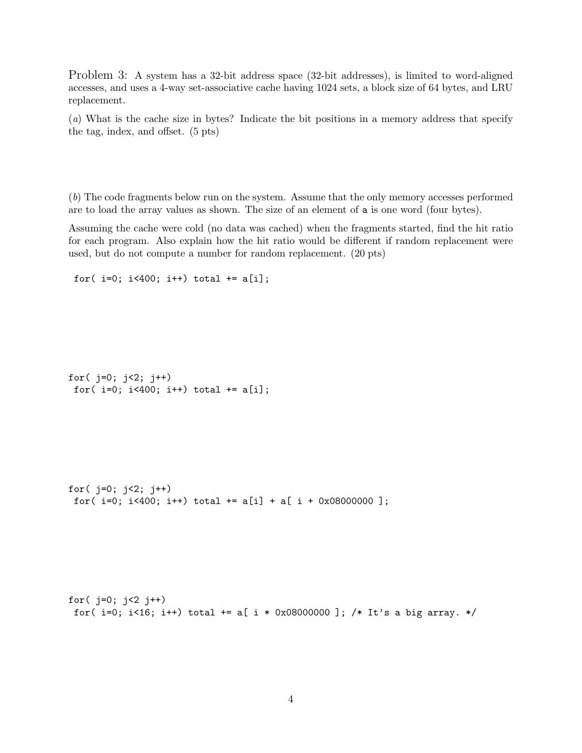Problem 3: A system has a 32-bit address space (32-bit addresses), is limited to word-aligned accesses, and uses a 4-way set-associative cache having 1024 sets, a block size of 64 bytes, and LRU replacement.

(a) What is the cache size in bytes? Indicate the bit positions in a memory address that specify the tag, index, and offset. (5 pts)

(b) The code fragments below run on the system. Assume that the only memory accesses performed are to load the array values as shown. The size of an element of a is one word (four bytes).

Assuming the cache were cold (no data was cached) when the fragments started, find the hit ratio for each program. Also explain how the hit ratio would be different if random replacement were used, but do not compute a number for random replacement. (20 pts)

```
for(i=0; i<400; i++) total += a[i];
```

```
for(j=0; j<2; j++)
for(i=0; i<400; i++) total += a[i];
```

```
for(i=0; i<2; i++)for(i=0; i<400; i++) total += a[i] + a[i + 0x08000000];
```

```
for(j=0; j<2 j++)
for(i=0; i<16; i+1) total i=1 i * 0x08000000]; /* It's a big array. */
```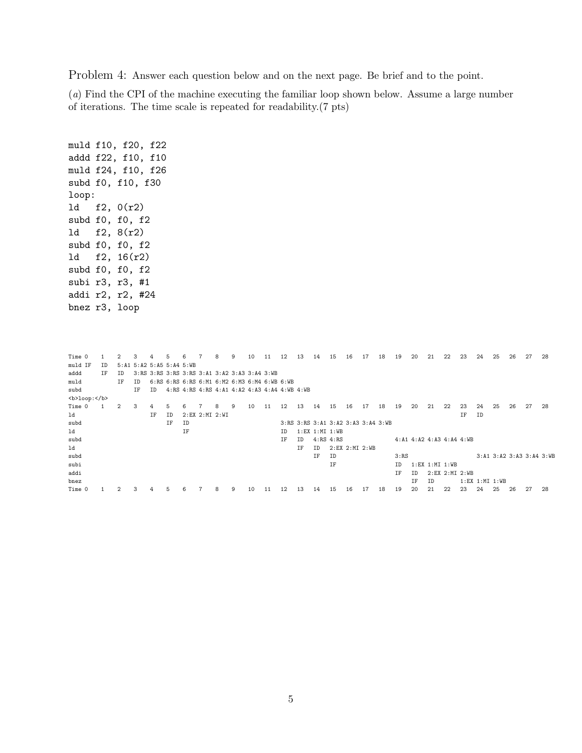Problem 4: Answer each question below and on the next page. Be brief and to the point.

(a) Find the CPI of the machine executing the familiar loop shown below. Assume a large number of iterations. The time scale is repeated for readability.(7 pts)

muld f10, f20, f22 addd f22, f10, f10 muld f24, f10, f26 subd f0, f10, f30 loop: ld f2, 0(r2) subd f0, f0, f2 ld f2, 8(r2) subd f0, f0, f2 ld f2, 16(r2) subd f0, f0, f2 subi r3, r3, #1 addi r2, r2, #24 bnez r3, loop

Time 0 1 2 3 4 5 6 7 8 9 10 11 12 13 14 15 16 17 18 19 20 21 22 23 24 25 26 27 28 muld IF ID 5:A1 5:A2 5:A5 5:A4 5:WB addd IF ID 3:RS 3:RS 3:RS 3:RS 3:A1 3:A2 3:A3 3:A4 3:WB<br>muld IF ID 6:RS 6:RS 6:RS 6:M1 6:M2 6:M3 6:M4 6:WB muld IF ID 6:RS 6:RS 6:RS 6:M1 6:M2 6:M3 6:M4 6:WB 6:WB subd IF ID 4:RS 4:RS 4:RS 4:A1 4:A2 4:A3 4:A4 4:WB 4:WB <b>loop:</b>Time 0 1 Time 0 1 2 3 4 5 6 7 8 9 10 11 12 13 14 15 16 17 18 19 20 21 22 23 24 25 26 27 28 ld IF ID 2:EX 2:MI 2:WI IF ID subd IF ID 3:RS 3:RS 3:A1 3:A2 3:A3 3:A4 3:WB ld IF ID 1:EX 1:MI 1:WB 4:A1 4:A2 4:A3 4:A4 4:WB ld IF ID 2:EX 2:MI 2:WB subd IF ID 3:RS 3:A1 3:A2 3:A3 3:A4 3:WB<br>subi IF ID 1:EX 1:MI 1:WB  $ID = 1:EX 1:MI 1:WB$ addi IF ID 2:EX 2:MI 2:WB bnez IF ID 1:EX 1:MI 1:WB Time 0 1 2 3 4 5 6 7 8 9 10 11 12 13 14 15 16 17 18 19 20 21 22 23 24 25 26 27 28